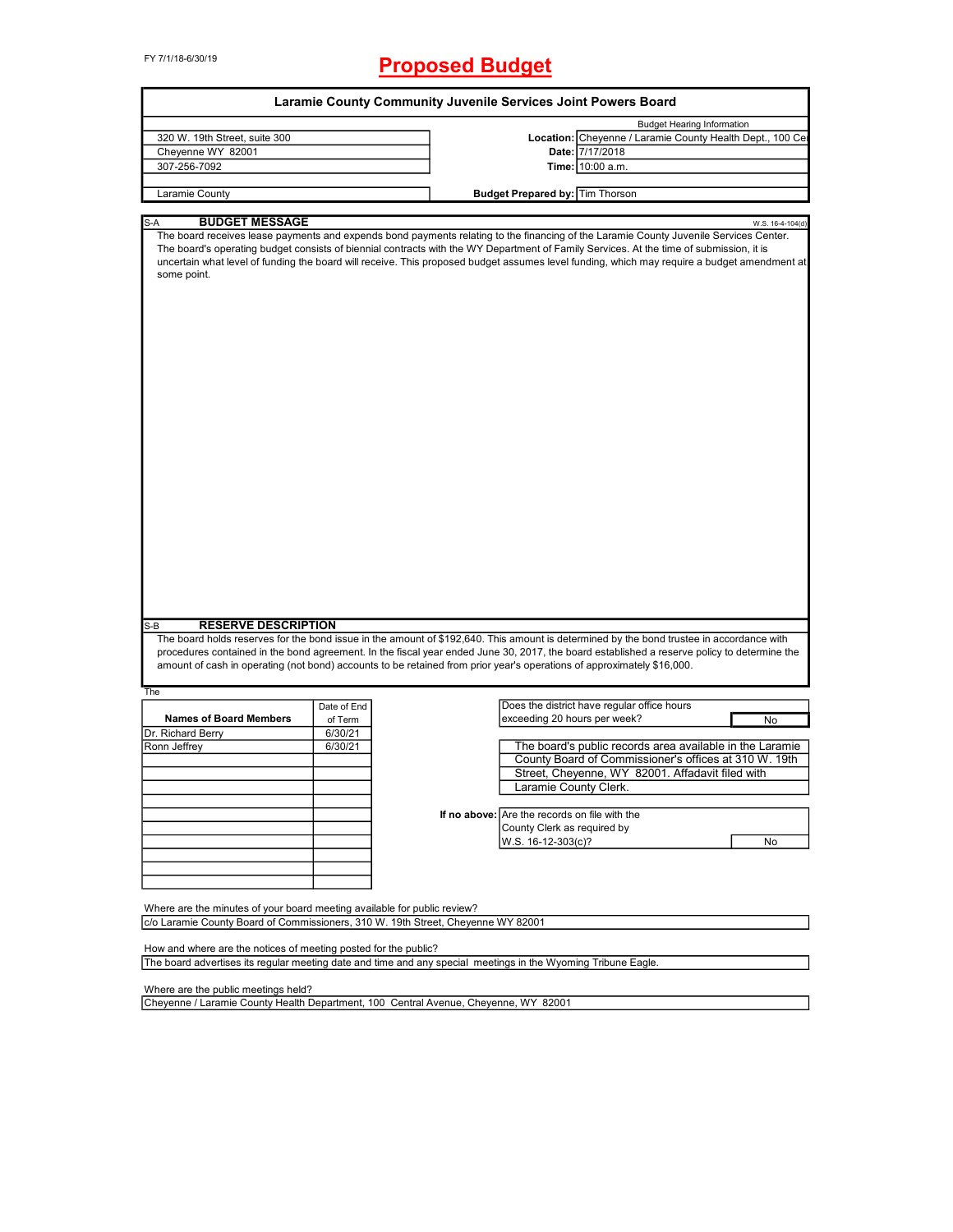# FY 7/1/18-6/30/19 **Proposed Budget**

| <b>Budget Hearing Information</b><br>Location: Cheyenne / Laramie County Health Dept., 100 Ce<br>320 W. 19th Street, suite 300<br>Cheyenne WY 82001<br>Date: 7/17/2018<br>307-256-7092<br>Time: 10:00 a.m.<br>Laramie County<br><b>Budget Prepared by: Tim Thorson</b><br><b>BUDGET MESSAGE</b><br>S-A<br>The board receives lease payments and expends bond payments relating to the financing of the Laramie County Juvenile Services Center.<br>The board's operating budget consists of biennial contracts with the WY Department of Family Services. At the time of submission, it is<br>uncertain what level of funding the board will receive. This proposed budget assumes level funding, which may require a budget amendment at<br>some point.<br><b>RESERVE DESCRIPTION</b><br>S-B<br>The board holds reserves for the bond issue in the amount of \$192,640. This amount is determined by the bond trustee in accordance with<br>procedures contained in the bond agreement. In the fiscal year ended June 30, 2017, the board established a reserve policy to determine the<br>amount of cash in operating (not bond) accounts to be retained from prior year's operations of approximately \$16,000.<br>The<br>Does the district have regular office hours<br>Date of End | W.S. 16-4-104(d) |
|-----------------------------------------------------------------------------------------------------------------------------------------------------------------------------------------------------------------------------------------------------------------------------------------------------------------------------------------------------------------------------------------------------------------------------------------------------------------------------------------------------------------------------------------------------------------------------------------------------------------------------------------------------------------------------------------------------------------------------------------------------------------------------------------------------------------------------------------------------------------------------------------------------------------------------------------------------------------------------------------------------------------------------------------------------------------------------------------------------------------------------------------------------------------------------------------------------------------------------------------------------------------------------------------|------------------|
|                                                                                                                                                                                                                                                                                                                                                                                                                                                                                                                                                                                                                                                                                                                                                                                                                                                                                                                                                                                                                                                                                                                                                                                                                                                                                         |                  |
|                                                                                                                                                                                                                                                                                                                                                                                                                                                                                                                                                                                                                                                                                                                                                                                                                                                                                                                                                                                                                                                                                                                                                                                                                                                                                         |                  |
|                                                                                                                                                                                                                                                                                                                                                                                                                                                                                                                                                                                                                                                                                                                                                                                                                                                                                                                                                                                                                                                                                                                                                                                                                                                                                         |                  |
|                                                                                                                                                                                                                                                                                                                                                                                                                                                                                                                                                                                                                                                                                                                                                                                                                                                                                                                                                                                                                                                                                                                                                                                                                                                                                         |                  |
|                                                                                                                                                                                                                                                                                                                                                                                                                                                                                                                                                                                                                                                                                                                                                                                                                                                                                                                                                                                                                                                                                                                                                                                                                                                                                         |                  |
|                                                                                                                                                                                                                                                                                                                                                                                                                                                                                                                                                                                                                                                                                                                                                                                                                                                                                                                                                                                                                                                                                                                                                                                                                                                                                         |                  |
|                                                                                                                                                                                                                                                                                                                                                                                                                                                                                                                                                                                                                                                                                                                                                                                                                                                                                                                                                                                                                                                                                                                                                                                                                                                                                         |                  |
|                                                                                                                                                                                                                                                                                                                                                                                                                                                                                                                                                                                                                                                                                                                                                                                                                                                                                                                                                                                                                                                                                                                                                                                                                                                                                         |                  |
|                                                                                                                                                                                                                                                                                                                                                                                                                                                                                                                                                                                                                                                                                                                                                                                                                                                                                                                                                                                                                                                                                                                                                                                                                                                                                         |                  |
|                                                                                                                                                                                                                                                                                                                                                                                                                                                                                                                                                                                                                                                                                                                                                                                                                                                                                                                                                                                                                                                                                                                                                                                                                                                                                         |                  |
|                                                                                                                                                                                                                                                                                                                                                                                                                                                                                                                                                                                                                                                                                                                                                                                                                                                                                                                                                                                                                                                                                                                                                                                                                                                                                         |                  |
|                                                                                                                                                                                                                                                                                                                                                                                                                                                                                                                                                                                                                                                                                                                                                                                                                                                                                                                                                                                                                                                                                                                                                                                                                                                                                         |                  |
|                                                                                                                                                                                                                                                                                                                                                                                                                                                                                                                                                                                                                                                                                                                                                                                                                                                                                                                                                                                                                                                                                                                                                                                                                                                                                         |                  |
|                                                                                                                                                                                                                                                                                                                                                                                                                                                                                                                                                                                                                                                                                                                                                                                                                                                                                                                                                                                                                                                                                                                                                                                                                                                                                         |                  |
| <b>Names of Board Members</b><br>exceeding 20 hours per week?<br>of Term                                                                                                                                                                                                                                                                                                                                                                                                                                                                                                                                                                                                                                                                                                                                                                                                                                                                                                                                                                                                                                                                                                                                                                                                                | No               |
| Dr. Richard Berry<br>6/30/21<br>Ronn Jeffrey<br>6/30/21<br>The board's public records area available in the Laramie                                                                                                                                                                                                                                                                                                                                                                                                                                                                                                                                                                                                                                                                                                                                                                                                                                                                                                                                                                                                                                                                                                                                                                     |                  |
| County Board of Commissioner's offices at 310 W. 19th                                                                                                                                                                                                                                                                                                                                                                                                                                                                                                                                                                                                                                                                                                                                                                                                                                                                                                                                                                                                                                                                                                                                                                                                                                   |                  |
| Street, Cheyenne, WY 82001. Affadavit filed with                                                                                                                                                                                                                                                                                                                                                                                                                                                                                                                                                                                                                                                                                                                                                                                                                                                                                                                                                                                                                                                                                                                                                                                                                                        |                  |
| Laramie County Clerk.                                                                                                                                                                                                                                                                                                                                                                                                                                                                                                                                                                                                                                                                                                                                                                                                                                                                                                                                                                                                                                                                                                                                                                                                                                                                   |                  |
|                                                                                                                                                                                                                                                                                                                                                                                                                                                                                                                                                                                                                                                                                                                                                                                                                                                                                                                                                                                                                                                                                                                                                                                                                                                                                         |                  |
| Are the records on file with the<br>If no above:                                                                                                                                                                                                                                                                                                                                                                                                                                                                                                                                                                                                                                                                                                                                                                                                                                                                                                                                                                                                                                                                                                                                                                                                                                        |                  |
|                                                                                                                                                                                                                                                                                                                                                                                                                                                                                                                                                                                                                                                                                                                                                                                                                                                                                                                                                                                                                                                                                                                                                                                                                                                                                         |                  |
| County Clerk as required by                                                                                                                                                                                                                                                                                                                                                                                                                                                                                                                                                                                                                                                                                                                                                                                                                                                                                                                                                                                                                                                                                                                                                                                                                                                             |                  |
| W.S. 16-12-303(c)?                                                                                                                                                                                                                                                                                                                                                                                                                                                                                                                                                                                                                                                                                                                                                                                                                                                                                                                                                                                                                                                                                                                                                                                                                                                                      | No               |
|                                                                                                                                                                                                                                                                                                                                                                                                                                                                                                                                                                                                                                                                                                                                                                                                                                                                                                                                                                                                                                                                                                                                                                                                                                                                                         |                  |
|                                                                                                                                                                                                                                                                                                                                                                                                                                                                                                                                                                                                                                                                                                                                                                                                                                                                                                                                                                                                                                                                                                                                                                                                                                                                                         |                  |
|                                                                                                                                                                                                                                                                                                                                                                                                                                                                                                                                                                                                                                                                                                                                                                                                                                                                                                                                                                                                                                                                                                                                                                                                                                                                                         |                  |
|                                                                                                                                                                                                                                                                                                                                                                                                                                                                                                                                                                                                                                                                                                                                                                                                                                                                                                                                                                                                                                                                                                                                                                                                                                                                                         |                  |
|                                                                                                                                                                                                                                                                                                                                                                                                                                                                                                                                                                                                                                                                                                                                                                                                                                                                                                                                                                                                                                                                                                                                                                                                                                                                                         |                  |
| Where are the minutes of your board meeting available for public review?<br>c/o Laramie County Board of Commissioners, 310 W. 19th Street, Cheyenne WY 82001                                                                                                                                                                                                                                                                                                                                                                                                                                                                                                                                                                                                                                                                                                                                                                                                                                                                                                                                                                                                                                                                                                                            |                  |

The board advertises its regular meeting date and time and any special meetings in the Wyoming Tribune Eagle.

Where are the public meetings held?

Cheyenne / Laramie County Health Department, 100 Central Avenue, Cheyenne, WY 82001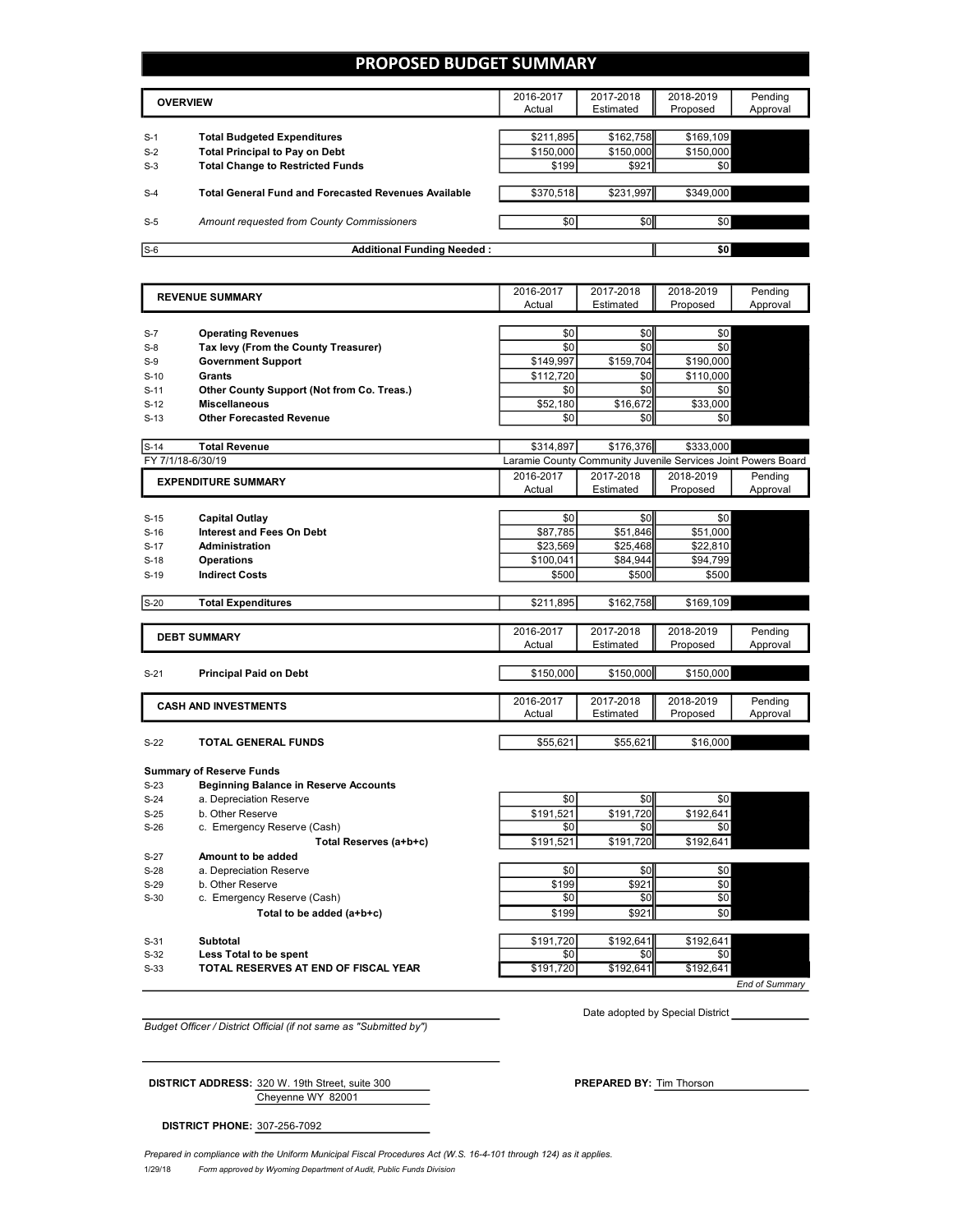### **PROPOSED BUDGET SUMMARY**

| <b>OVERVIEW</b> |                                                             | 2016-2017<br>Actual | 2017-2018<br>Estimated | 2018-2019<br>Proposed | Pending<br>Approval |
|-----------------|-------------------------------------------------------------|---------------------|------------------------|-----------------------|---------------------|
|                 |                                                             |                     |                        |                       |                     |
| $S-1$           | <b>Total Budgeted Expenditures</b>                          | \$211,895           | \$162,758              | \$169,109             |                     |
| $S-2$           | <b>Total Principal to Pay on Debt</b>                       | \$150,000           | \$150,000              | \$150,000             |                     |
| $S-3$           | <b>Total Change to Restricted Funds</b>                     | \$199               | \$921                  | \$0                   |                     |
|                 |                                                             |                     |                        |                       |                     |
| $S-4$           | <b>Total General Fund and Forecasted Revenues Available</b> | \$370,518           | \$231,997              | \$349,000             |                     |
|                 |                                                             |                     |                        |                       |                     |
| $S-5$           | Amount requested from County Commissioners                  | \$0 <sub>1</sub>    | \$0                    | \$0                   |                     |
|                 |                                                             |                     |                        |                       |                     |
| $S-6$           | <b>Additional Funding Needed:</b>                           |                     |                        | \$0                   |                     |

| <b>REVENUE SUMMARY</b> |                                              | 2016-2017 | 2017-2018                                                     | 2018-2019        | Pending  |
|------------------------|----------------------------------------------|-----------|---------------------------------------------------------------|------------------|----------|
|                        |                                              |           | Estimated                                                     | Proposed         | Approval |
|                        |                                              |           |                                                               |                  |          |
| $S-7$                  | <b>Operating Revenues</b>                    | \$0       | \$0                                                           | \$0              |          |
| $S-8$                  | Tax levy (From the County Treasurer)         | \$0       | \$0                                                           | \$0              |          |
| $S-9$                  | <b>Government Support</b>                    | \$149,997 | \$159,704                                                     | \$190,000        |          |
| $S-10$                 | Grants                                       | \$112,720 | \$0                                                           | \$110,000        |          |
| $S-11$                 | Other County Support (Not from Co. Treas.)   | \$0       | \$0                                                           | \$0              |          |
| $S-12$                 | <b>Miscellaneous</b>                         | \$52,180  | \$16,672                                                      | \$33,000         |          |
| $S-13$                 | <b>Other Forecasted Revenue</b>              | \$0       | \$0                                                           | \$0 <sub>1</sub> |          |
|                        |                                              |           |                                                               |                  |          |
| $S-14$                 | <b>Total Revenue</b>                         | \$314,897 | \$176,376                                                     | \$333,000        |          |
|                        | FY 7/1/18-6/30/19                            |           | Laramie County Community Juvenile Services Joint Powers Board |                  |          |
|                        | <b>EXPENDITURE SUMMARY</b>                   | 2016-2017 | 2017-2018                                                     | 2018-2019        | Pending  |
|                        |                                              | Actual    | Estimated                                                     | Proposed         | Approval |
|                        |                                              |           |                                                               |                  |          |
| $S-15$                 | Capital Outlay                               | \$0       | \$0                                                           | \$0              |          |
| $S-16$                 | <b>Interest and Fees On Debt</b>             | \$87,785  | \$51,846                                                      | \$51,000         |          |
| $S-17$                 | Administration                               | \$23,569  | \$25,468                                                      | \$22,810         |          |
| $S-18$                 | <b>Operations</b>                            | \$100,041 | \$84,944                                                      | \$94,799         |          |
| $S-19$                 | <b>Indirect Costs</b>                        | \$500     | \$500                                                         | \$500            |          |
| $S-20$                 | <b>Total Expenditures</b>                    | \$211,895 | \$162,758                                                     | \$169,109        |          |
|                        |                                              |           |                                                               |                  |          |
|                        |                                              | 2016-2017 | 2017-2018                                                     | 2018-2019        | Pending  |
|                        | <b>DEBT SUMMARY</b>                          | Actual    | Estimated                                                     | Proposed         | Approval |
|                        |                                              |           |                                                               |                  |          |
| $S-21$                 | <b>Principal Paid on Debt</b>                | \$150,000 | \$150,000                                                     | \$150,000        |          |
|                        |                                              |           |                                                               |                  |          |
|                        | <b>CASH AND INVESTMENTS</b>                  | 2016-2017 | 2017-2018                                                     | 2018-2019        | Pending  |
|                        |                                              | Actual    | Estimated                                                     | Proposed         | Approval |
|                        |                                              |           |                                                               |                  |          |
| $S-22$                 | TOTAL GENERAL FUNDS                          | \$55,621  | \$55,621                                                      | \$16,000         |          |
|                        |                                              |           |                                                               |                  |          |
|                        | <b>Summary of Reserve Funds</b>              |           |                                                               |                  |          |
| $S-23$                 | <b>Beginning Balance in Reserve Accounts</b> |           |                                                               |                  |          |
| $S-24$                 | a. Depreciation Reserve                      | \$0       | \$0                                                           | \$0              |          |
| $S-25$                 | b. Other Reserve                             | \$191,521 | \$191,720                                                     | \$192,641        |          |

S-26 c. Emergency Reserve (Cash)  $\overline{\hspace{1cm}}$  \$0 \$0 \$0 \$0 \$0 **Total Reserves (a+b+c)** \$191,521 \$191,720 \$192,641 S-27 **Amount to be added** S-28 a. Depreciation Reserve \$0 \$0 \$0 \$0 S-29 b. Other Reserve \$199 \$921 \$0 \$0 S-30 c. Emergency Reserve (Cash) \$0 **Total to be added (a+b+c)**  $$199$  \$199 \$921 \$0 S-31 **Subtotal \$192,641 \$192,641 \$192,641 \$192,641** \$192,641 \$192,641 **Less Total to be spent because the contract of the spentius of the spentius of the spentius of the spentius of the spentius of the spentius of the spentius of the spentius of the spentius of the spentius of the spentius** S-33 **TOTAL RESERVES AT END OF FISCAL YEAR** \$191,720 \$192,641 \$192,641 \$192,641

*End of Summary*

*Budget Officer / District Official (if not same as "Submitted by")*

Date adopted by Special District

Cheyenne WY 82001 **DISTRICT ADDRESS:** 320 W. 19th Street, suite 300 **PREPARED BY:** Tim Thorson

**DISTRICT PHONE:** 307-256-7092

1/29/18 *Form approved by Wyoming Department of Audit, Public Funds Division Prepared in compliance with the Uniform Municipal Fiscal Procedures Act (W.S. 16-4-101 through 124) as it applies.*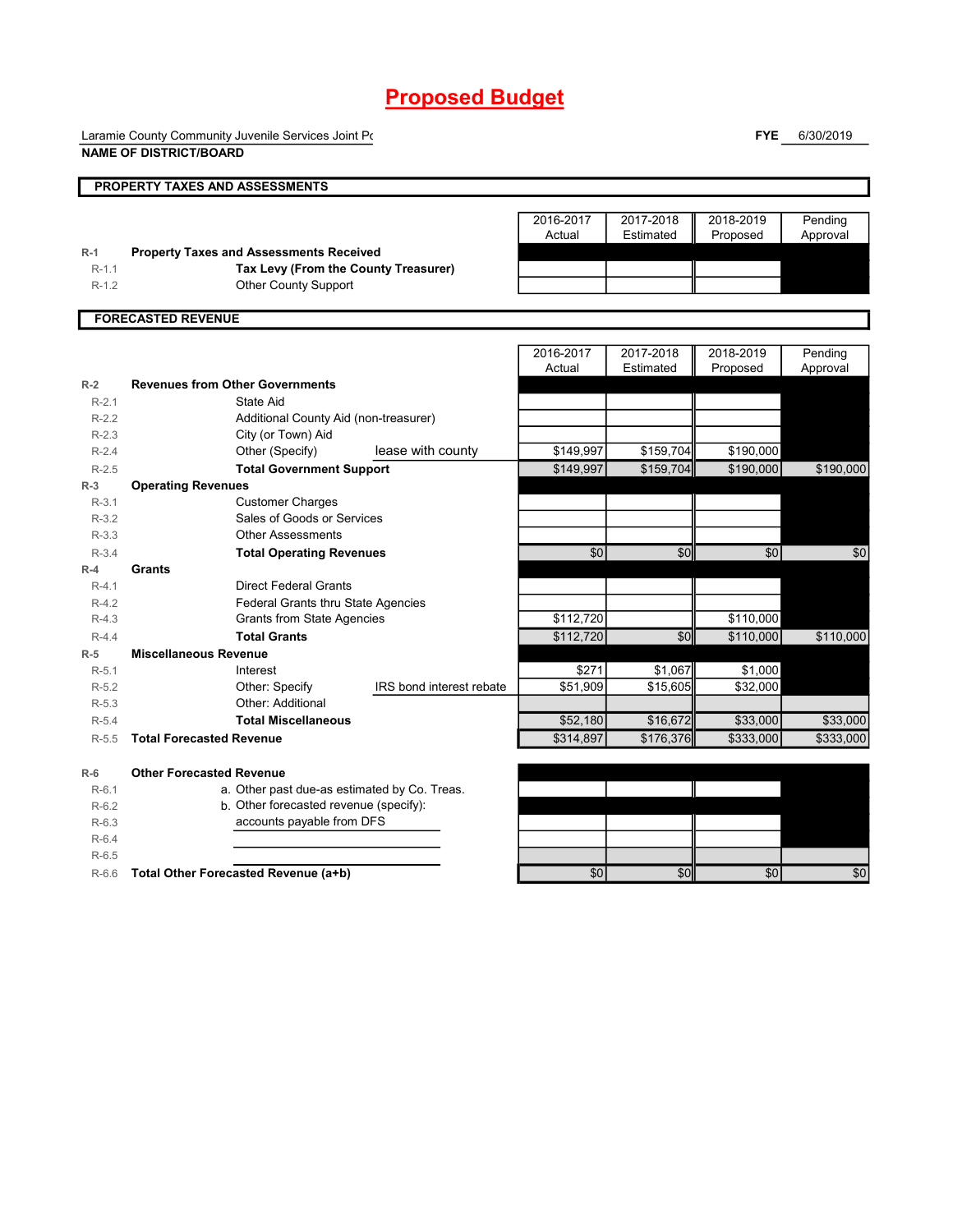Laramie County Community Juvenile Services Joint Powers **NAME OF DISTRICT/BOARD**

**FYE** 6/30/2019

| <b>PROPERTY TAXES AND ASSESSMENTS</b><br>2016-2017<br>2017-2018<br>2018-2019<br>Pending<br>Actual<br>Estimated<br>Proposed<br>Approval<br><b>Property Taxes and Assessments Received</b><br>$R-1$<br>Tax Levy (From the County Treasurer)<br>$R-1.1$<br><b>Other County Support</b><br>$R-1.2$<br><b>FORECASTED REVENUE</b><br>2016-2017<br>2017-2018<br>2018-2019<br>Pending<br>Actual<br>Estimated<br>Proposed<br>Approval<br><b>Revenues from Other Governments</b><br>$R-2$<br>$R-2.1$<br>State Aid<br>$R-2.2$<br>Additional County Aid (non-treasurer)<br>City (or Town) Aid<br>$R-2.3$<br>Other (Specify)<br>lease with county<br>\$149,997<br>\$159,704<br>\$190,000<br>$R - 2.4$<br>\$149.997<br>\$159,704<br>\$190,000<br><b>Total Government Support</b><br>$R-2.5$<br><b>Operating Revenues</b><br>$R-3$<br><b>Customer Charges</b><br>$R-3.1$<br>Sales of Goods or Services<br>$R-3.2$<br><b>Other Assessments</b><br>$R-3.3$<br>\$0<br>\$0<br>\$0<br>$R-3.4$<br><b>Total Operating Revenues</b><br>Grants<br>$R-4$<br><b>Direct Federal Grants</b><br>$R-4.1$<br>Federal Grants thru State Agencies<br>$R-4.2$<br>\$112,720<br>\$110,000<br>$R-4.3$<br><b>Grants from State Agencies</b><br><b>Total Grants</b><br>\$0<br>\$112,720<br>\$110,000<br>\$110,000<br>$R-4.4$<br><b>Miscellaneous Revenue</b><br>$R-5$<br>\$271<br>\$1.067<br>\$1,000<br>$R-5.1$<br>Interest<br>IRS bond interest rebate<br>\$51,909<br>Other: Specify<br>\$15,605<br>\$32,000<br>$R-5.2$<br>Other: Additional<br>$R-5.3$<br>\$16,672<br>\$33,000<br>\$33,000<br>$R-5.4$<br><b>Total Miscellaneous</b><br>\$52,180<br>\$314,897<br>\$176,376<br>\$333,000<br>\$333,000<br><b>Total Forecasted Revenue</b><br>$R-5.5$<br><b>Other Forecasted Revenue</b><br>$R-6$<br>a. Other past due-as estimated by Co. Treas.<br>$R-6.1$<br>b. Other forecasted revenue (specify):<br>$R-6.2$<br>accounts payable from DFS<br>$R-6.3$<br>$R-6.4$<br>$R-6.5$<br>\$0<br>\$0<br>Total Other Forecasted Revenue (a+b)<br>\$0<br>$R-6.6$ |  |  |  |           |
|----------------------------------------------------------------------------------------------------------------------------------------------------------------------------------------------------------------------------------------------------------------------------------------------------------------------------------------------------------------------------------------------------------------------------------------------------------------------------------------------------------------------------------------------------------------------------------------------------------------------------------------------------------------------------------------------------------------------------------------------------------------------------------------------------------------------------------------------------------------------------------------------------------------------------------------------------------------------------------------------------------------------------------------------------------------------------------------------------------------------------------------------------------------------------------------------------------------------------------------------------------------------------------------------------------------------------------------------------------------------------------------------------------------------------------------------------------------------------------------------------------------------------------------------------------------------------------------------------------------------------------------------------------------------------------------------------------------------------------------------------------------------------------------------------------------------------------------------------------------------------------------------------------------------------------------------------------------------------------------------------------------|--|--|--|-----------|
|                                                                                                                                                                                                                                                                                                                                                                                                                                                                                                                                                                                                                                                                                                                                                                                                                                                                                                                                                                                                                                                                                                                                                                                                                                                                                                                                                                                                                                                                                                                                                                                                                                                                                                                                                                                                                                                                                                                                                                                                                |  |  |  |           |
|                                                                                                                                                                                                                                                                                                                                                                                                                                                                                                                                                                                                                                                                                                                                                                                                                                                                                                                                                                                                                                                                                                                                                                                                                                                                                                                                                                                                                                                                                                                                                                                                                                                                                                                                                                                                                                                                                                                                                                                                                |  |  |  |           |
|                                                                                                                                                                                                                                                                                                                                                                                                                                                                                                                                                                                                                                                                                                                                                                                                                                                                                                                                                                                                                                                                                                                                                                                                                                                                                                                                                                                                                                                                                                                                                                                                                                                                                                                                                                                                                                                                                                                                                                                                                |  |  |  |           |
|                                                                                                                                                                                                                                                                                                                                                                                                                                                                                                                                                                                                                                                                                                                                                                                                                                                                                                                                                                                                                                                                                                                                                                                                                                                                                                                                                                                                                                                                                                                                                                                                                                                                                                                                                                                                                                                                                                                                                                                                                |  |  |  |           |
|                                                                                                                                                                                                                                                                                                                                                                                                                                                                                                                                                                                                                                                                                                                                                                                                                                                                                                                                                                                                                                                                                                                                                                                                                                                                                                                                                                                                                                                                                                                                                                                                                                                                                                                                                                                                                                                                                                                                                                                                                |  |  |  |           |
|                                                                                                                                                                                                                                                                                                                                                                                                                                                                                                                                                                                                                                                                                                                                                                                                                                                                                                                                                                                                                                                                                                                                                                                                                                                                                                                                                                                                                                                                                                                                                                                                                                                                                                                                                                                                                                                                                                                                                                                                                |  |  |  |           |
|                                                                                                                                                                                                                                                                                                                                                                                                                                                                                                                                                                                                                                                                                                                                                                                                                                                                                                                                                                                                                                                                                                                                                                                                                                                                                                                                                                                                                                                                                                                                                                                                                                                                                                                                                                                                                                                                                                                                                                                                                |  |  |  |           |
|                                                                                                                                                                                                                                                                                                                                                                                                                                                                                                                                                                                                                                                                                                                                                                                                                                                                                                                                                                                                                                                                                                                                                                                                                                                                                                                                                                                                                                                                                                                                                                                                                                                                                                                                                                                                                                                                                                                                                                                                                |  |  |  |           |
|                                                                                                                                                                                                                                                                                                                                                                                                                                                                                                                                                                                                                                                                                                                                                                                                                                                                                                                                                                                                                                                                                                                                                                                                                                                                                                                                                                                                                                                                                                                                                                                                                                                                                                                                                                                                                                                                                                                                                                                                                |  |  |  |           |
|                                                                                                                                                                                                                                                                                                                                                                                                                                                                                                                                                                                                                                                                                                                                                                                                                                                                                                                                                                                                                                                                                                                                                                                                                                                                                                                                                                                                                                                                                                                                                                                                                                                                                                                                                                                                                                                                                                                                                                                                                |  |  |  |           |
|                                                                                                                                                                                                                                                                                                                                                                                                                                                                                                                                                                                                                                                                                                                                                                                                                                                                                                                                                                                                                                                                                                                                                                                                                                                                                                                                                                                                                                                                                                                                                                                                                                                                                                                                                                                                                                                                                                                                                                                                                |  |  |  |           |
|                                                                                                                                                                                                                                                                                                                                                                                                                                                                                                                                                                                                                                                                                                                                                                                                                                                                                                                                                                                                                                                                                                                                                                                                                                                                                                                                                                                                                                                                                                                                                                                                                                                                                                                                                                                                                                                                                                                                                                                                                |  |  |  |           |
|                                                                                                                                                                                                                                                                                                                                                                                                                                                                                                                                                                                                                                                                                                                                                                                                                                                                                                                                                                                                                                                                                                                                                                                                                                                                                                                                                                                                                                                                                                                                                                                                                                                                                                                                                                                                                                                                                                                                                                                                                |  |  |  |           |
|                                                                                                                                                                                                                                                                                                                                                                                                                                                                                                                                                                                                                                                                                                                                                                                                                                                                                                                                                                                                                                                                                                                                                                                                                                                                                                                                                                                                                                                                                                                                                                                                                                                                                                                                                                                                                                                                                                                                                                                                                |  |  |  |           |
|                                                                                                                                                                                                                                                                                                                                                                                                                                                                                                                                                                                                                                                                                                                                                                                                                                                                                                                                                                                                                                                                                                                                                                                                                                                                                                                                                                                                                                                                                                                                                                                                                                                                                                                                                                                                                                                                                                                                                                                                                |  |  |  |           |
|                                                                                                                                                                                                                                                                                                                                                                                                                                                                                                                                                                                                                                                                                                                                                                                                                                                                                                                                                                                                                                                                                                                                                                                                                                                                                                                                                                                                                                                                                                                                                                                                                                                                                                                                                                                                                                                                                                                                                                                                                |  |  |  |           |
|                                                                                                                                                                                                                                                                                                                                                                                                                                                                                                                                                                                                                                                                                                                                                                                                                                                                                                                                                                                                                                                                                                                                                                                                                                                                                                                                                                                                                                                                                                                                                                                                                                                                                                                                                                                                                                                                                                                                                                                                                |  |  |  | \$190,000 |
|                                                                                                                                                                                                                                                                                                                                                                                                                                                                                                                                                                                                                                                                                                                                                                                                                                                                                                                                                                                                                                                                                                                                                                                                                                                                                                                                                                                                                                                                                                                                                                                                                                                                                                                                                                                                                                                                                                                                                                                                                |  |  |  |           |
|                                                                                                                                                                                                                                                                                                                                                                                                                                                                                                                                                                                                                                                                                                                                                                                                                                                                                                                                                                                                                                                                                                                                                                                                                                                                                                                                                                                                                                                                                                                                                                                                                                                                                                                                                                                                                                                                                                                                                                                                                |  |  |  |           |
|                                                                                                                                                                                                                                                                                                                                                                                                                                                                                                                                                                                                                                                                                                                                                                                                                                                                                                                                                                                                                                                                                                                                                                                                                                                                                                                                                                                                                                                                                                                                                                                                                                                                                                                                                                                                                                                                                                                                                                                                                |  |  |  |           |
|                                                                                                                                                                                                                                                                                                                                                                                                                                                                                                                                                                                                                                                                                                                                                                                                                                                                                                                                                                                                                                                                                                                                                                                                                                                                                                                                                                                                                                                                                                                                                                                                                                                                                                                                                                                                                                                                                                                                                                                                                |  |  |  |           |
|                                                                                                                                                                                                                                                                                                                                                                                                                                                                                                                                                                                                                                                                                                                                                                                                                                                                                                                                                                                                                                                                                                                                                                                                                                                                                                                                                                                                                                                                                                                                                                                                                                                                                                                                                                                                                                                                                                                                                                                                                |  |  |  | \$0       |
|                                                                                                                                                                                                                                                                                                                                                                                                                                                                                                                                                                                                                                                                                                                                                                                                                                                                                                                                                                                                                                                                                                                                                                                                                                                                                                                                                                                                                                                                                                                                                                                                                                                                                                                                                                                                                                                                                                                                                                                                                |  |  |  |           |
|                                                                                                                                                                                                                                                                                                                                                                                                                                                                                                                                                                                                                                                                                                                                                                                                                                                                                                                                                                                                                                                                                                                                                                                                                                                                                                                                                                                                                                                                                                                                                                                                                                                                                                                                                                                                                                                                                                                                                                                                                |  |  |  |           |
|                                                                                                                                                                                                                                                                                                                                                                                                                                                                                                                                                                                                                                                                                                                                                                                                                                                                                                                                                                                                                                                                                                                                                                                                                                                                                                                                                                                                                                                                                                                                                                                                                                                                                                                                                                                                                                                                                                                                                                                                                |  |  |  |           |
|                                                                                                                                                                                                                                                                                                                                                                                                                                                                                                                                                                                                                                                                                                                                                                                                                                                                                                                                                                                                                                                                                                                                                                                                                                                                                                                                                                                                                                                                                                                                                                                                                                                                                                                                                                                                                                                                                                                                                                                                                |  |  |  |           |
|                                                                                                                                                                                                                                                                                                                                                                                                                                                                                                                                                                                                                                                                                                                                                                                                                                                                                                                                                                                                                                                                                                                                                                                                                                                                                                                                                                                                                                                                                                                                                                                                                                                                                                                                                                                                                                                                                                                                                                                                                |  |  |  |           |
|                                                                                                                                                                                                                                                                                                                                                                                                                                                                                                                                                                                                                                                                                                                                                                                                                                                                                                                                                                                                                                                                                                                                                                                                                                                                                                                                                                                                                                                                                                                                                                                                                                                                                                                                                                                                                                                                                                                                                                                                                |  |  |  |           |
|                                                                                                                                                                                                                                                                                                                                                                                                                                                                                                                                                                                                                                                                                                                                                                                                                                                                                                                                                                                                                                                                                                                                                                                                                                                                                                                                                                                                                                                                                                                                                                                                                                                                                                                                                                                                                                                                                                                                                                                                                |  |  |  |           |
|                                                                                                                                                                                                                                                                                                                                                                                                                                                                                                                                                                                                                                                                                                                                                                                                                                                                                                                                                                                                                                                                                                                                                                                                                                                                                                                                                                                                                                                                                                                                                                                                                                                                                                                                                                                                                                                                                                                                                                                                                |  |  |  |           |
|                                                                                                                                                                                                                                                                                                                                                                                                                                                                                                                                                                                                                                                                                                                                                                                                                                                                                                                                                                                                                                                                                                                                                                                                                                                                                                                                                                                                                                                                                                                                                                                                                                                                                                                                                                                                                                                                                                                                                                                                                |  |  |  |           |
|                                                                                                                                                                                                                                                                                                                                                                                                                                                                                                                                                                                                                                                                                                                                                                                                                                                                                                                                                                                                                                                                                                                                                                                                                                                                                                                                                                                                                                                                                                                                                                                                                                                                                                                                                                                                                                                                                                                                                                                                                |  |  |  |           |
|                                                                                                                                                                                                                                                                                                                                                                                                                                                                                                                                                                                                                                                                                                                                                                                                                                                                                                                                                                                                                                                                                                                                                                                                                                                                                                                                                                                                                                                                                                                                                                                                                                                                                                                                                                                                                                                                                                                                                                                                                |  |  |  |           |
|                                                                                                                                                                                                                                                                                                                                                                                                                                                                                                                                                                                                                                                                                                                                                                                                                                                                                                                                                                                                                                                                                                                                                                                                                                                                                                                                                                                                                                                                                                                                                                                                                                                                                                                                                                                                                                                                                                                                                                                                                |  |  |  |           |
|                                                                                                                                                                                                                                                                                                                                                                                                                                                                                                                                                                                                                                                                                                                                                                                                                                                                                                                                                                                                                                                                                                                                                                                                                                                                                                                                                                                                                                                                                                                                                                                                                                                                                                                                                                                                                                                                                                                                                                                                                |  |  |  |           |
|                                                                                                                                                                                                                                                                                                                                                                                                                                                                                                                                                                                                                                                                                                                                                                                                                                                                                                                                                                                                                                                                                                                                                                                                                                                                                                                                                                                                                                                                                                                                                                                                                                                                                                                                                                                                                                                                                                                                                                                                                |  |  |  |           |
|                                                                                                                                                                                                                                                                                                                                                                                                                                                                                                                                                                                                                                                                                                                                                                                                                                                                                                                                                                                                                                                                                                                                                                                                                                                                                                                                                                                                                                                                                                                                                                                                                                                                                                                                                                                                                                                                                                                                                                                                                |  |  |  |           |
|                                                                                                                                                                                                                                                                                                                                                                                                                                                                                                                                                                                                                                                                                                                                                                                                                                                                                                                                                                                                                                                                                                                                                                                                                                                                                                                                                                                                                                                                                                                                                                                                                                                                                                                                                                                                                                                                                                                                                                                                                |  |  |  |           |
|                                                                                                                                                                                                                                                                                                                                                                                                                                                                                                                                                                                                                                                                                                                                                                                                                                                                                                                                                                                                                                                                                                                                                                                                                                                                                                                                                                                                                                                                                                                                                                                                                                                                                                                                                                                                                                                                                                                                                                                                                |  |  |  |           |
|                                                                                                                                                                                                                                                                                                                                                                                                                                                                                                                                                                                                                                                                                                                                                                                                                                                                                                                                                                                                                                                                                                                                                                                                                                                                                                                                                                                                                                                                                                                                                                                                                                                                                                                                                                                                                                                                                                                                                                                                                |  |  |  | \$0       |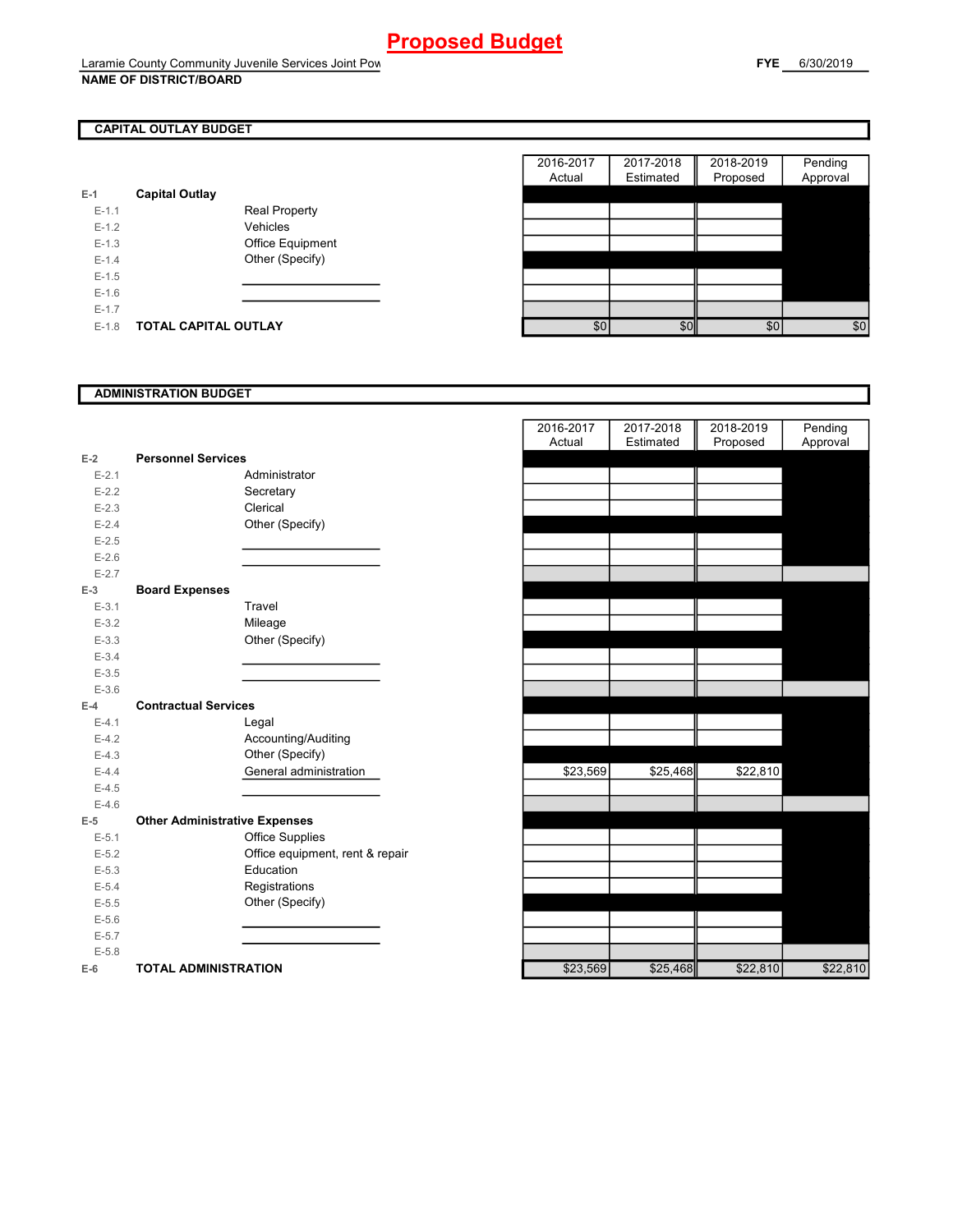## **CAPITAL OUTLAY BUDGET**

| $E-1$     | <b>Capital Outlay</b> |                         |
|-----------|-----------------------|-------------------------|
| $E - 1.1$ |                       | <b>Real Property</b>    |
| $F-12$    |                       | Vehicles                |
| $F-1.3$   |                       | <b>Office Equipment</b> |
| $F-14$    |                       | Other (Specify)         |
| $F-1.5$   |                       |                         |
| $F-16$    |                       |                         |
| $E - 1.7$ |                       |                         |
| $F-1.8$   | TOTAL CAPITAL OUTLAY  |                         |

|         |                       |                      | 2016-2017 | 2017-2018 | 2018-2019 | Pending  |
|---------|-----------------------|----------------------|-----------|-----------|-----------|----------|
|         |                       |                      | Actual    | Estimated | Proposed  | Approval |
|         | <b>Capital Outlay</b> |                      |           |           |           |          |
| $E-1.1$ |                       | <b>Real Property</b> |           |           |           |          |
| $E-1.2$ |                       | Vehicles             |           |           |           |          |
| $E-1.3$ |                       | Office Equipment     |           |           |           |          |
| $E-1.4$ |                       | Other (Specify)      |           |           |           |          |
| $E-1.5$ |                       |                      |           |           |           |          |
| $E-1.6$ |                       |                      |           |           |           |          |
| $E-1.7$ |                       |                      |           |           |           |          |
| $E-1.8$ | TOTAL CAPITAL OUTLAY  |                      | \$0       | \$0       | \$0       | \$0      |

### **ADMINISTRATION BUDGET**

|           |                                      |                                 | Actual   | Estimated | Proposed | Approval |
|-----------|--------------------------------------|---------------------------------|----------|-----------|----------|----------|
| $E-2$     | <b>Personnel Services</b>            |                                 |          |           |          |          |
| $E - 2.1$ |                                      | Administrator                   |          |           |          |          |
| $E - 2.2$ |                                      | Secretary                       |          |           |          |          |
| $E - 2.3$ |                                      | Clerical                        |          |           |          |          |
| $E - 2.4$ |                                      | Other (Specify)                 |          |           |          |          |
| $E-2.5$   |                                      |                                 |          |           |          |          |
| $E-2.6$   |                                      |                                 |          |           |          |          |
| $E - 2.7$ |                                      |                                 |          |           |          |          |
| $E-3$     | <b>Board Expenses</b>                |                                 |          |           |          |          |
| $E-3.1$   |                                      | Travel                          |          |           |          |          |
| $E - 3.2$ |                                      | Mileage                         |          |           |          |          |
| $E - 3.3$ |                                      | Other (Specify)                 |          |           |          |          |
| $E - 3.4$ |                                      |                                 |          |           |          |          |
| $E - 3.5$ |                                      |                                 |          |           |          |          |
| $E - 3.6$ |                                      |                                 |          |           |          |          |
| $E-4$     | <b>Contractual Services</b>          |                                 |          |           |          |          |
| $E - 4.1$ |                                      | Legal                           |          |           |          |          |
| $E-4.2$   |                                      | Accounting/Auditing             |          |           |          |          |
| $E-4.3$   |                                      | Other (Specify)                 |          |           |          |          |
| $E-4.4$   |                                      | General administration          | \$23,569 | \$25,468  | \$22,810 |          |
| $E-4.5$   |                                      |                                 |          |           |          |          |
| $E-4.6$   |                                      |                                 |          |           |          |          |
| $E-5$     | <b>Other Administrative Expenses</b> |                                 |          |           |          |          |
| $E - 5.1$ |                                      | Office Supplies                 |          |           |          |          |
| $E - 5.2$ |                                      | Office equipment, rent & repair |          |           |          |          |
| $E - 5.3$ |                                      | Education                       |          |           |          |          |
| $E - 5.4$ |                                      | Registrations                   |          |           |          |          |
| $E-5.5$   |                                      | Other (Specify)                 |          |           |          |          |
| $E-5.6$   |                                      |                                 |          |           |          |          |
| $E - 5.7$ |                                      |                                 |          |           |          |          |
| $E - 5.8$ |                                      |                                 |          |           |          |          |
| $E-6$     | <b>TOTAL ADMINISTRATION</b>          |                                 | \$23,569 | \$25,468  | \$22,810 | \$22,810 |

|                          |                                      |                                 | 2016-2017 | 2017-2018 | 2018-2019 | Pending  |
|--------------------------|--------------------------------------|---------------------------------|-----------|-----------|-----------|----------|
|                          |                                      |                                 | Actual    | Estimated | Proposed  | Approval |
| $\overline{\mathbf{r}}$  | <b>Personnel Services</b>            |                                 |           |           |           |          |
| $E - 2.1$                |                                      | Administrator                   |           |           |           |          |
| $E - 2.2$                |                                      | Secretary                       |           |           |           |          |
| $E - 2.3$                |                                      | Clerical                        |           |           |           |          |
| $E - 2.4$                |                                      | Other (Specify)                 |           |           |           |          |
| $E - 2.5$                |                                      |                                 |           |           |           |          |
| $E - 2.6$                |                                      |                                 |           |           |           |          |
| $E - 2.7$                |                                      |                                 |           |           |           |          |
| 3                        | <b>Board Expenses</b>                |                                 |           |           |           |          |
| $E - 3.1$                |                                      | Travel                          |           |           |           |          |
| $E - 3.2$                |                                      | Mileage                         |           |           |           |          |
| $E - 3.3$                |                                      | Other (Specify)                 |           |           |           |          |
| $E - 3.4$                |                                      |                                 |           |           |           |          |
| $E-3.5$                  |                                      |                                 |           |           |           |          |
| $E - 3.6$                |                                      |                                 |           |           |           |          |
| ı.                       | <b>Contractual Services</b>          |                                 |           |           |           |          |
| $E - 4.1$                |                                      | Legal                           |           |           |           |          |
| $E - 4.2$                |                                      | Accounting/Auditing             |           |           |           |          |
| $E - 4.3$                |                                      | Other (Specify)                 |           |           |           |          |
| $E - 4.4$                |                                      | General administration          | \$23,569  | \$25,468  | \$22,810  |          |
| $E - 4.5$                |                                      |                                 |           |           |           |          |
| $E - 4.6$                |                                      |                                 |           |           |           |          |
| $\overline{\phantom{1}}$ | <b>Other Administrative Expenses</b> |                                 |           |           |           |          |
| $E - 5.1$                |                                      | <b>Office Supplies</b>          |           |           |           |          |
| $E - 5.2$                |                                      | Office equipment, rent & repair |           |           |           |          |
| $E - 5.3$                |                                      | Education                       |           |           |           |          |
| $E - 5.4$                |                                      | Registrations                   |           |           |           |          |
| $E - 5.5$                |                                      | Other (Specify)                 |           |           |           |          |
| $E - 5.6$                |                                      |                                 |           |           |           |          |
| $E - 5.7$                |                                      |                                 |           |           |           |          |
| $E - 5.8$                |                                      |                                 |           |           |           |          |
| ŝ.                       | <b>TOTAL ADMINISTRATION</b>          |                                 | \$23.569  | \$25,468  | \$22,810  | \$22.810 |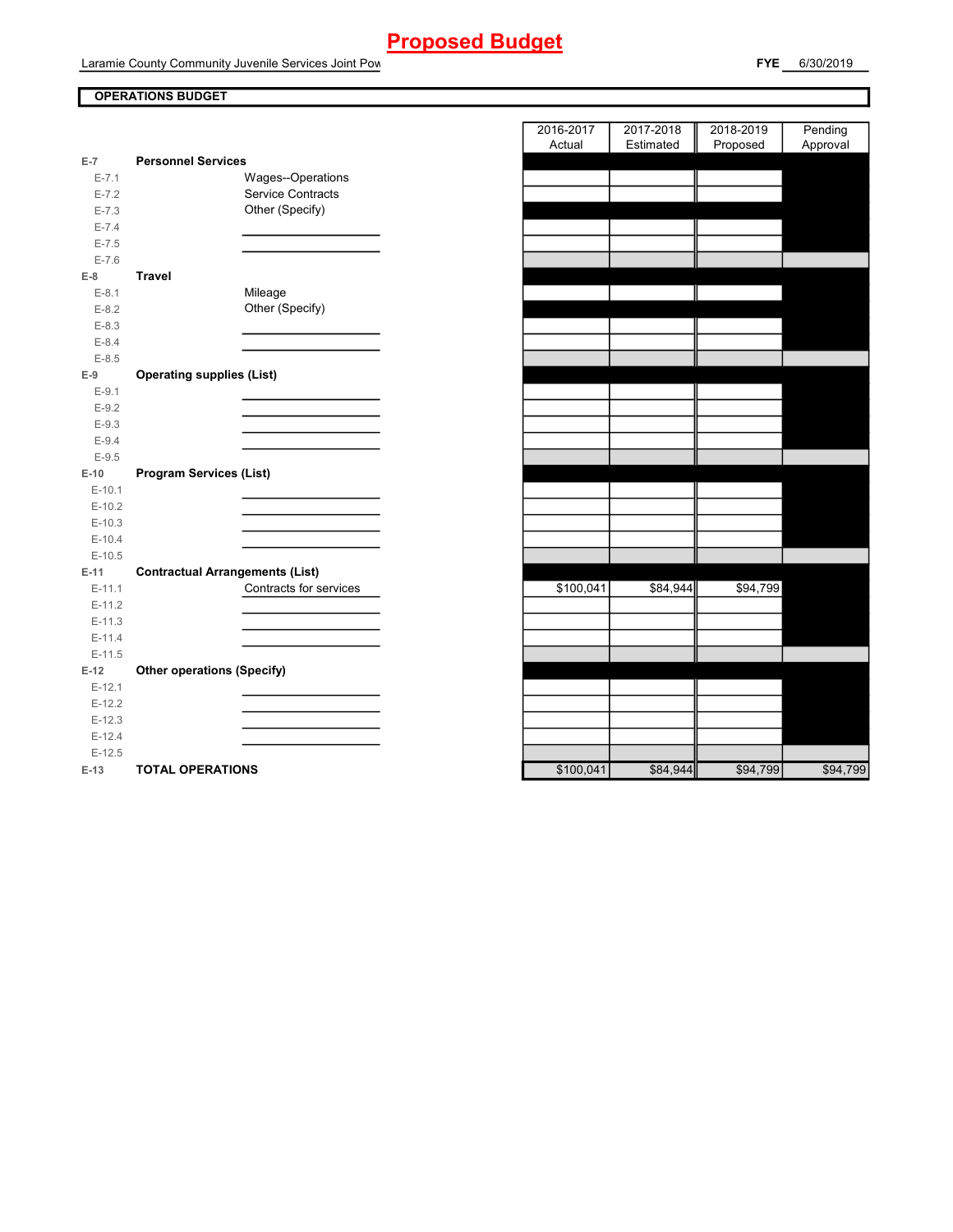Laramie County Community Juvenile Services Joint Pow

### **OPERATIONS BUDGET**

| $E-7$      | <b>Personnel Services</b>              |
|------------|----------------------------------------|
| $E - 7.1$  | Wages--Operations                      |
| $E-7.2$    | <b>Service Contracts</b>               |
| $E - 7.3$  | Other (Specify)                        |
| $E - 7.4$  |                                        |
| $E - 7.5$  |                                        |
| $E - 7.6$  |                                        |
| E-8        | Travel                                 |
| $E-8.1$    | Mileage                                |
| $E - 8.2$  | Other (Specify)                        |
| $E - 8.3$  |                                        |
| $E - 8.4$  |                                        |
| $E - 8.5$  |                                        |
| $E-9$      | <b>Operating supplies (List)</b>       |
| $E-9.1$    |                                        |
| $E-9.2$    |                                        |
| $E-9.3$    |                                        |
| $E - 9.4$  |                                        |
| $E-9.5$    |                                        |
| $E-10$     | <b>Program Services (List)</b>         |
| $E-10.1$   |                                        |
| $E-10.2$   |                                        |
| $E-10.3$   |                                        |
| $E-10.4$   |                                        |
| $E-10.5$   |                                        |
| $E-11$     | <b>Contractual Arrangements (List)</b> |
| $E-11.1$   | Contracts for services                 |
| $E-11.2$   |                                        |
| $E - 11.3$ |                                        |
| $E-11.4$   |                                        |
| $E-11.5$   |                                        |
| $E-12$     | <b>Other operations (Specify)</b>      |
| $E-12.1$   |                                        |
| $E-12.2$   |                                        |
| $E-12.3$   |                                        |
| $E-12.4$   |                                        |
| $E-12.5$   |                                        |
| $E-13$     | <b>TOTAL OPERATIONS</b>                |

|                |                                        | 2016-2017 | 2017-2018 | 2018-2019 | Pending  |
|----------------|----------------------------------------|-----------|-----------|-----------|----------|
|                |                                        | Actual    | Estimated | Proposed  | Approval |
| $\overline{7}$ | <b>Personnel Services</b>              |           |           |           |          |
| $E - 7.1$      | Wages--Operations                      |           |           |           |          |
| $E - 7.2$      | Service Contracts                      |           |           |           |          |
| $E - 7.3$      | Other (Specify)                        |           |           |           |          |
| $E - 7.4$      |                                        |           |           |           |          |
| $E - 7.5$      |                                        |           |           |           |          |
| $E - 7.6$      |                                        |           |           |           |          |
| 8              | <b>Travel</b>                          |           |           |           |          |
| $E-8.1$        | Mileage                                |           |           |           |          |
| $E - 8.2$      | Other (Specify)                        |           |           |           |          |
| $E-8.3$        |                                        |           |           |           |          |
| $E - 8.4$      |                                        |           |           |           |          |
| $E - 8.5$      |                                        |           |           |           |          |
| 9              | <b>Operating supplies (List)</b>       |           |           |           |          |
| $E-9.1$        |                                        |           |           |           |          |
| $E-9.2$        |                                        |           |           |           |          |
| $E-9.3$        |                                        |           |           |           |          |
| $E - 9.4$      |                                        |           |           |           |          |
| $E - 9.5$      |                                        |           |           |           |          |
| 10             | <b>Program Services (List)</b>         |           |           |           |          |
| E-10.1         |                                        |           |           |           |          |
| $E-10.2$       |                                        |           |           |           |          |
| $E-10.3$       |                                        |           |           |           |          |
| $E-10.4$       |                                        |           |           |           |          |
| $E-10.5$       |                                        |           |           |           |          |
| 11             | <b>Contractual Arrangements (List)</b> |           |           |           |          |
| $E-11.1$       | Contracts for services                 | \$100,041 | \$84,944  | \$94,799  |          |
| $E-11.2$       |                                        |           |           |           |          |
| $E-11.3$       |                                        |           |           |           |          |
| $E-11.4$       |                                        |           |           |           |          |
| $E-11.5$       |                                        |           |           |           |          |
| 12             | <b>Other operations (Specify)</b>      |           |           |           |          |
| $E-12.1$       |                                        |           |           |           |          |
| $E-12.2$       |                                        |           |           |           |          |
| $E-12.3$       |                                        |           |           |           |          |
| $E-12.4$       |                                        |           |           |           |          |
| $E-12.5$       |                                        |           |           |           |          |
| $13 -$         | TOTAL OPFRATIONS                       | \$100041  | \$84,944  | \$94 799  | \$94 799 |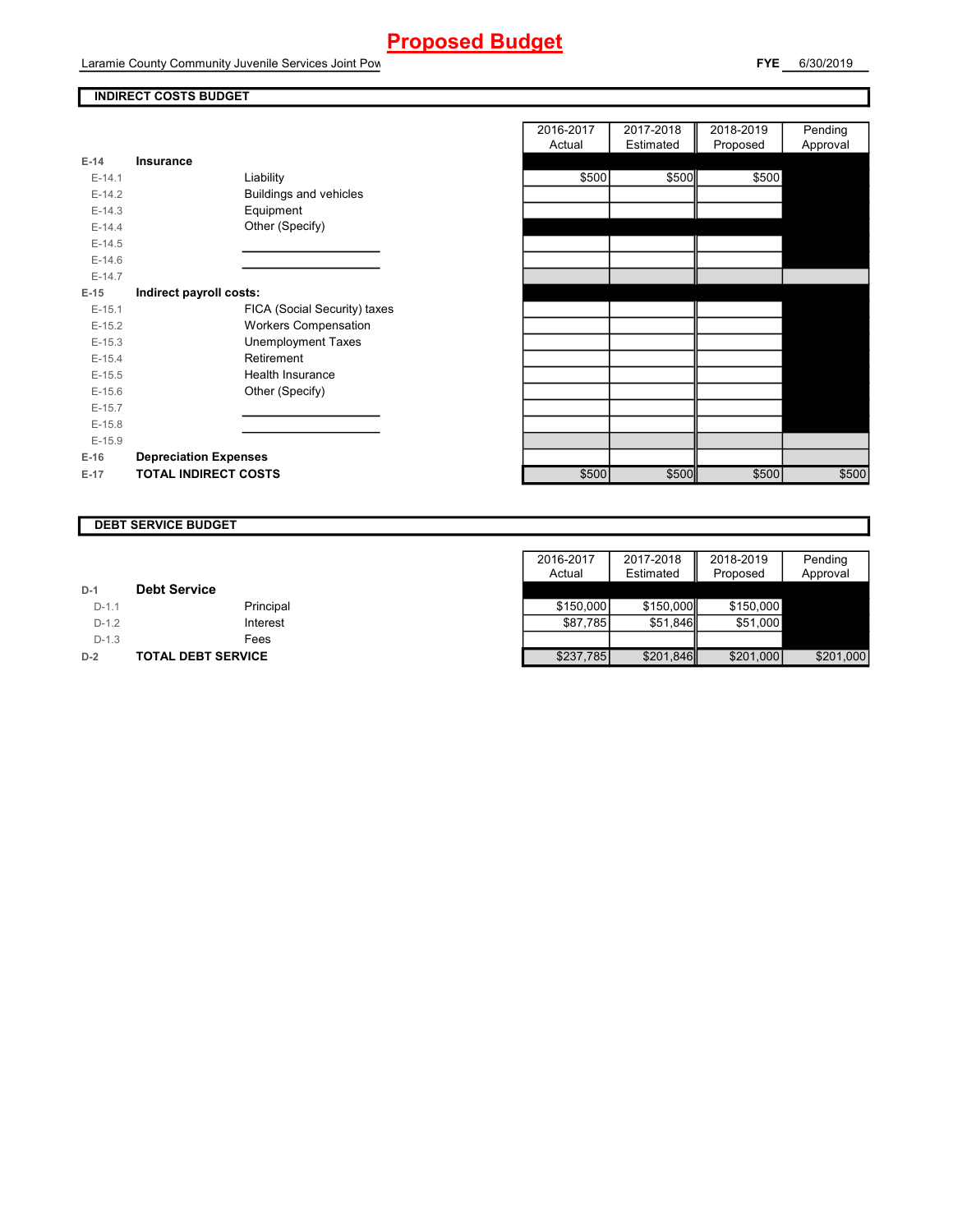Laramie County Community Juvenile Services Joint Pow

### **INDIRECT COSTS BUDGET**

| $E-14$   | Insurance                     |
|----------|-------------------------------|
| $F-14.1$ | Liability                     |
| $E-14.2$ | <b>Buildings and vehicles</b> |
| $E-14.3$ | Equipment                     |
| $F-144$  | Other (Specify)               |
| $E-14.5$ |                               |
| $E-14.6$ |                               |
| $E-14.7$ |                               |
| E-15     | Indirect payroll costs:       |
| $E-15.1$ | FICA (Social Security) taxes  |
| $E-15.2$ | <b>Workers Compensation</b>   |
| $E-15.3$ | <b>Unemployment Taxes</b>     |
| $E-15.4$ | Retirement                    |
| $E-15.5$ | Health Insurance              |
| $E-15.6$ | Other (Specify)               |
| $F-157$  |                               |
| $E-15.8$ |                               |
| $E-15.9$ |                               |
| $E-16$   | <b>Depreciation Expenses</b>  |
| E-17     | <b>TOTAL INDIRECT COSTS</b>   |

|          |                              | 2016-2017 | 2017-2018 | 2018-2019 | Pending  |
|----------|------------------------------|-----------|-----------|-----------|----------|
|          |                              | Actual    | Estimated | Proposed  | Approval |
| $E-14$   | <b>Insurance</b>             |           |           |           |          |
| $E-14.1$ | Liability                    | \$500     | \$500     | \$500     |          |
| $E-14.2$ | Buildings and vehicles       |           |           |           |          |
| $E-14.3$ | Equipment                    |           |           |           |          |
| $E-14.4$ | Other (Specify)              |           |           |           |          |
| $E-14.5$ |                              |           |           |           |          |
| $E-14.6$ |                              |           |           |           |          |
| $E-14.7$ |                              |           |           |           |          |
| $E-15$   | Indirect payroll costs:      |           |           |           |          |
| $E-15.1$ | FICA (Social Security) taxes |           |           |           |          |
| $E-15.2$ | <b>Workers Compensation</b>  |           |           |           |          |
| $E-15.3$ | <b>Unemployment Taxes</b>    |           |           |           |          |
| $E-15.4$ | Retirement                   |           |           |           |          |
| $E-15.5$ | Health Insurance             |           |           |           |          |
| $E-15.6$ | Other (Specify)              |           |           |           |          |
| $E-15.7$ |                              |           |           |           |          |
| $E-15.8$ |                              |           |           |           |          |
| $E-15.9$ |                              |           |           |           |          |
| $E-16$   | <b>Depreciation Expenses</b> |           |           |           |          |
| $E-17$   | <b>TOTAL INDIRECT COSTS</b>  | \$500     | \$500     | \$500     | \$500    |
|          |                              |           |           |           |          |

#### **DEBT SERVICE BUDGET**

|         |                           | 2016-2017 | 2017-2018 | 2018-2019 | Pending   |
|---------|---------------------------|-----------|-----------|-----------|-----------|
|         |                           | Actual    | Estimated | Proposed  | Approval  |
| $D-1$   | <b>Debt Service</b>       |           |           |           |           |
| $D-1.1$ | Principal                 | \$150,000 | \$150,000 | \$150,000 |           |
| $D-1.2$ | Interest                  | \$87.785  | \$51.846  | \$51,000  |           |
| $D-1.3$ | Fees                      |           |           |           |           |
| $D-2$   | <b>TOTAL DEBT SERVICE</b> | \$237,785 | \$201,846 | \$201,000 | \$201,000 |